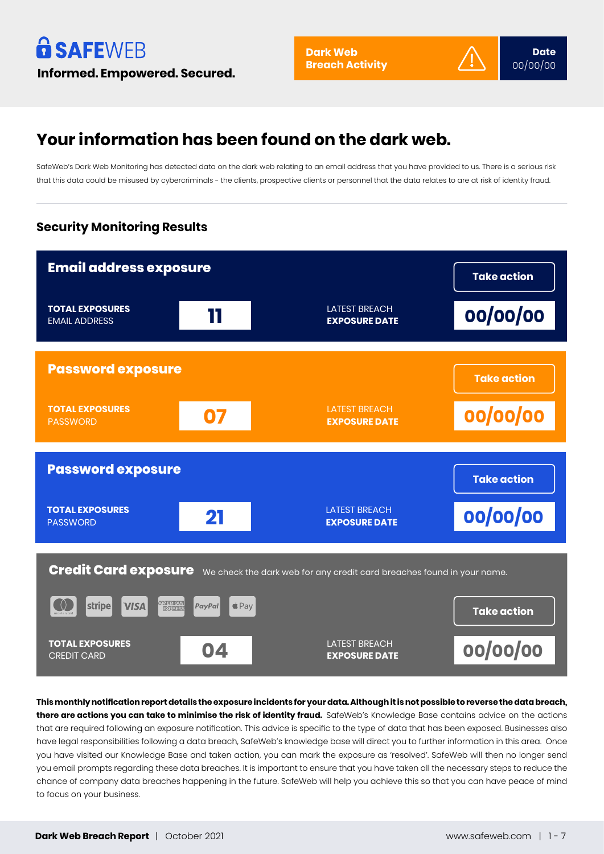## **Your information has been found on the dark web.**

SafeWeb's Dark Web Monitoring has detected data on the dark web relating to an email address that you have provided to us. There is a serious risk that this data could be misused by cybercriminals - the clients, prospective clients or personnel that the data relates to are at risk of identity fraud.

## **Security Monitoring Results**



**This monthly notification report details the exposure incidents for your data. Although it is not possible to reverse the data breach, there are actions you can take to minimise the risk of identity fraud.** SafeWeb's Knowledge Base contains advice on the actions that are required following an exposure notification. This advice is specific to the type of data that has been exposed. Businesses also have legal responsibilities following a data breach, SafeWeb's knowledge base will direct you to further information in this area. Once you have visited our Knowledge Base and taken action, you can mark the exposure as 'resolved'. SafeWeb will then no longer send you email prompts regarding these data breaches. It is important to ensure that you have taken all the necessary steps to reduce the chance of company data breaches happening in the future. SafeWeb will help you achieve this so that you can have peace of mind to focus on your business.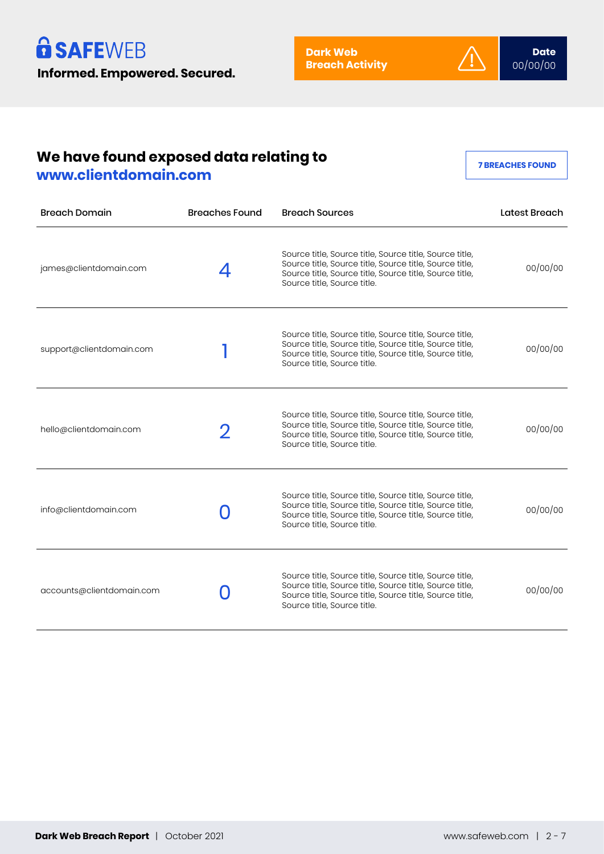

## **We have found exposed data relating to www.clientdomain.com**

**7 BREACHES FOUND**

| <b>Breach Domain</b>      | <b>Breaches Found</b> | <b>Breach Sources</b>                                                                                                                                                                                        | Latest Breach |
|---------------------------|-----------------------|--------------------------------------------------------------------------------------------------------------------------------------------------------------------------------------------------------------|---------------|
| james@clientdomain.com    |                       | Source title, Source title, Source title, Source title,<br>Source title, Source title, Source title, Source title,<br>Source title, Source title, Source title, Source title,<br>Source title, Source title. | 00/00/00      |
| support@clientdomain.com  |                       | Source title, Source title, Source title, Source title,<br>Source title, Source title, Source title, Source title,<br>Source title, Source title, Source title, Source title,<br>Source title, Source title. | 00/00/00      |
| hello@clientdomain.com    |                       | Source title, Source title, Source title, Source title,<br>Source title, Source title, Source title, Source title,<br>Source title, Source title, Source title, Source title,<br>Source title, Source title. | 00/00/00      |
| info@clientdomain.com     |                       | Source title, Source title, Source title, Source title,<br>Source title, Source title, Source title, Source title,<br>Source title, Source title, Source title, Source title,<br>Source title, Source title. | 00/00/00      |
| accounts@clientdomain.com |                       | Source title, Source title, Source title, Source title,<br>Source title, Source title, Source title, Source title,<br>Source title, Source title, Source title, Source title,<br>Source title, Source title. | 00/00/00      |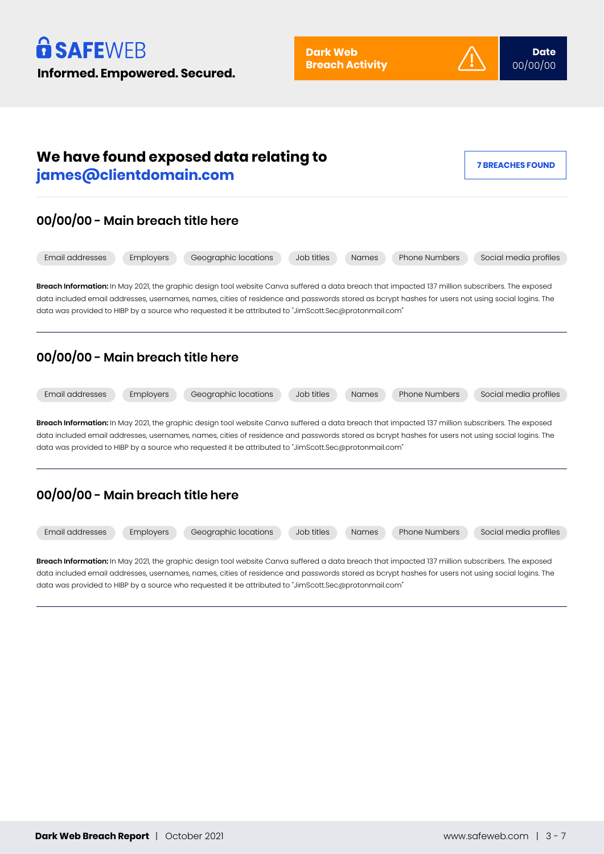



**Breach Information:** In May 2021, the graphic design tool website Canva suffered a data breach that impacted 137 million subscribers. The exposed data included email addresses, usernames, names, cities of residence and passwords stored as bcrypt hashes for users not using social logins. The data was provided to HIBP by a source who requested it be attributed to "JimScott.Sec@protonmail.com"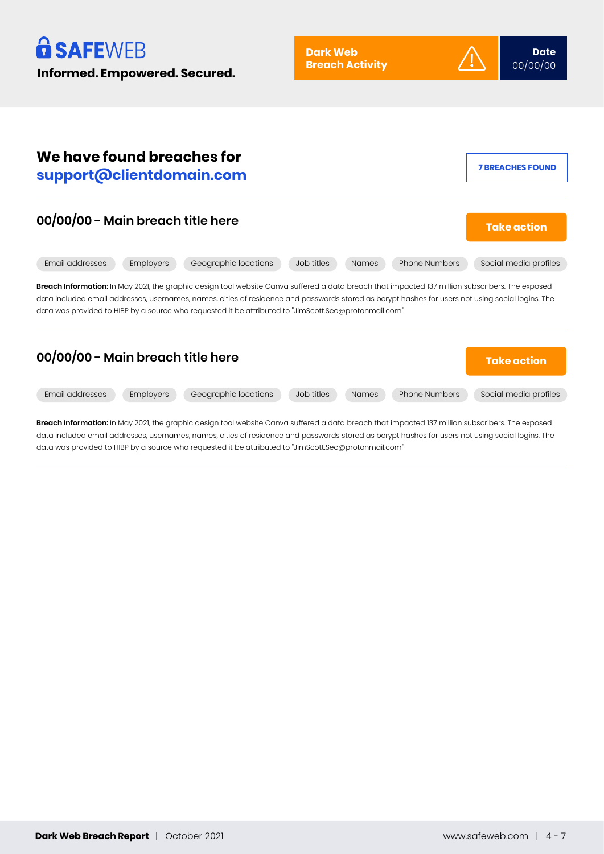

| We have found breaches for<br>support@clientdomain.com                                                                                                                                                                                                                                                                                                                                                         | <b>7 BREACHES FOUND</b> |
|----------------------------------------------------------------------------------------------------------------------------------------------------------------------------------------------------------------------------------------------------------------------------------------------------------------------------------------------------------------------------------------------------------------|-------------------------|
| 00/00/00 - Main breach title here                                                                                                                                                                                                                                                                                                                                                                              | <b>Take action</b>      |
| Email addresses<br>Employers<br>Geographic locations<br>Job titles<br><b>Phone Numbers</b><br><b>Names</b>                                                                                                                                                                                                                                                                                                     | Social media profiles   |
| Breach Information: In May 2021, the graphic design tool website Canva suffered a data breach that impacted 137 million subscribers. The exposed<br>data included email addresses, usernames, names, cities of residence and passwords stored as bcrypt hashes for users not using social logins. The<br>data was provided to HIBP by a source who requested it be attributed to "JimScott.Sec@protonmail.com" |                         |
| 00/00/00 - Main breach title here                                                                                                                                                                                                                                                                                                                                                                              | <b>Take action</b>      |
| Email addresses<br>Geographic locations<br>Job titles<br><b>Phone Numbers</b><br>Employers<br><b>Names</b>                                                                                                                                                                                                                                                                                                     | Social media profiles   |
| <b>Broach Information:</b> In May 2021, the araphic decian tool webgite Capya suffered a data broach that impacted 127 million subseribers. The expected                                                                                                                                                                                                                                                       |                         |

**Breach Information:** In May 2021, the graphic design tool website Canva suffered a data breach that impacted 137 million subscribers. The exposed data included email addresses, usernames, names, cities of residence and passwords stored as bcrypt hashes for users not using social logins. The data was provided to HIBP by a source who requested it be attributed to "JimScott.Sec@protonmail.com"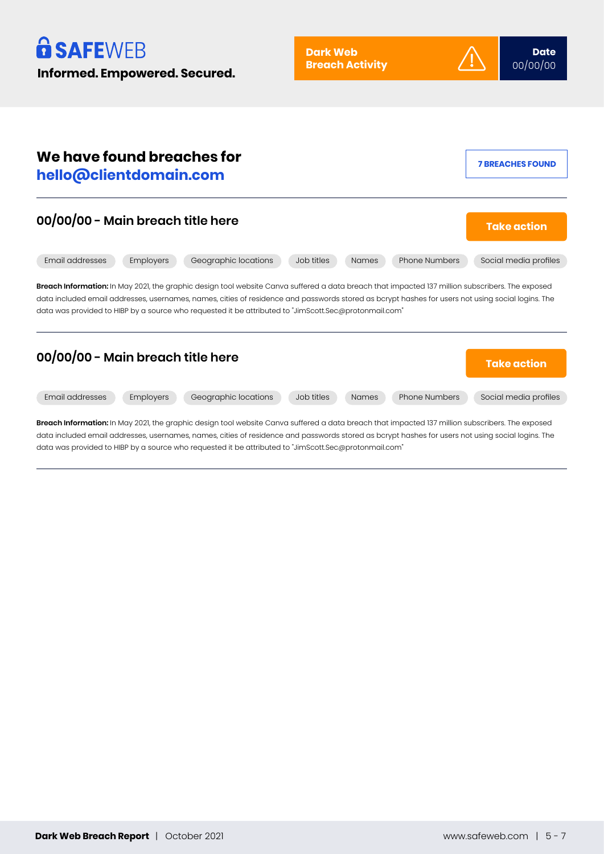

| We have found breaches for<br>hello@clientdomain.com                                                                                                                                                                                                                                                                                                                                                           | <b>7 BREACHES FOUND</b> |
|----------------------------------------------------------------------------------------------------------------------------------------------------------------------------------------------------------------------------------------------------------------------------------------------------------------------------------------------------------------------------------------------------------------|-------------------------|
| 00/00/00 - Main breach title here                                                                                                                                                                                                                                                                                                                                                                              | <b>Take action</b>      |
| Email addresses<br>Geographic locations<br><b>Phone Numbers</b><br>Employers<br>Job titles<br><b>Names</b>                                                                                                                                                                                                                                                                                                     | Social media profiles   |
| Breach Information: In May 2021, the graphic design tool website Canva suffered a data breach that impacted 137 million subscribers. The exposed<br>data included email addresses, usernames, names, cities of residence and passwords stored as bcrypt hashes for users not using social logins. The<br>data was provided to HIBP by a source who requested it be attributed to "JimScott.Sec@protonmail.com" |                         |
| 00/00/00 - Main breach title here                                                                                                                                                                                                                                                                                                                                                                              | <b>Take action</b>      |
| Email addresses<br>Employers<br>Geographic locations<br>Job titles<br><b>Phone Numbers</b><br><b>Names</b>                                                                                                                                                                                                                                                                                                     | Social media profiles   |
| Breach Information: In May 2021, the graphic design tool website Canva suffered a data breach that impacted 137 million subscribers. The exposed                                                                                                                                                                                                                                                               |                         |

data included email addresses, usernames, names, cities of residence and passwords stored as bcrypt hashes for users not using social logins. The data was provided to HIBP by a source who requested it be attributed to "JimScott.Sec@protonmail.com"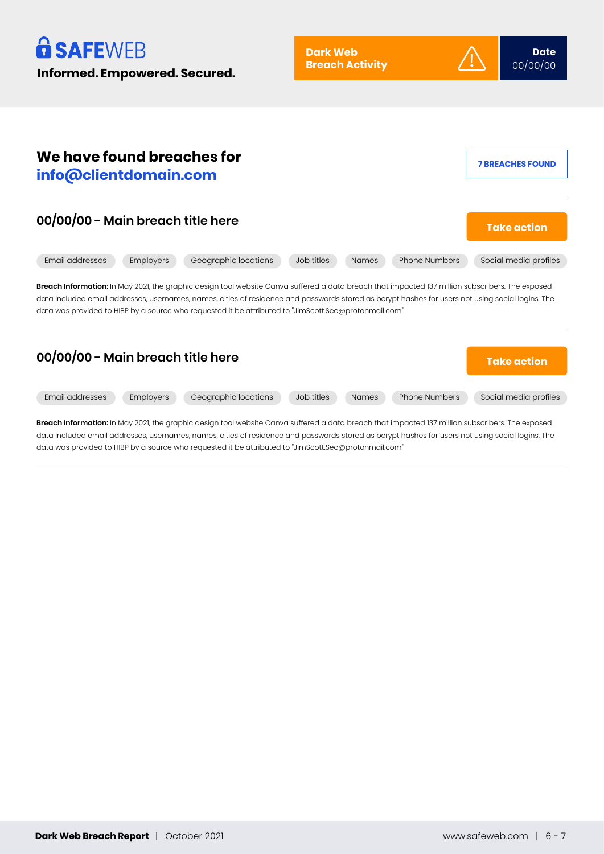

| We have found breaches for<br>info@clientdomain.com                                                                                                                                                                                                                                                                                                                                                            | <b>7 BREACHES FOUND</b> |
|----------------------------------------------------------------------------------------------------------------------------------------------------------------------------------------------------------------------------------------------------------------------------------------------------------------------------------------------------------------------------------------------------------------|-------------------------|
| 00/00/00 - Main breach title here                                                                                                                                                                                                                                                                                                                                                                              | <b>Take action</b>      |
| Email addresses<br>Geographic locations<br>Phone Numbers<br>Employers<br>Job titles<br><b>Names</b>                                                                                                                                                                                                                                                                                                            | Social media profiles   |
| Breach Information: In May 2021, the graphic design tool website Canva suffered a data breach that impacted 137 million subscribers. The exposed<br>data included email addresses, usernames, names, cities of residence and passwords stored as bcrypt hashes for users not using social logins. The<br>data was provided to HIBP by a source who requested it be attributed to "JimScott.Sec@protonmail.com" |                         |
| 00/00/00 - Main breach title here                                                                                                                                                                                                                                                                                                                                                                              | <b>Take action</b>      |
| Email addresses<br><b>Employers</b><br>Geographic locations<br><b>Phone Numbers</b><br>Job titles<br><b>Names</b>                                                                                                                                                                                                                                                                                              | Social media profiles   |
| Breach Information: In May 2021, the graphic design tool website Canva suffered a data breach that impacted 137 million subscribers. The exposed                                                                                                                                                                                                                                                               |                         |

data included email addresses, usernames, names, cities of residence and passwords stored as bcrypt hashes for users not using social logins. The data was provided to HIBP by a source who requested it be attributed to "JimScott.Sec@protonmail.com"